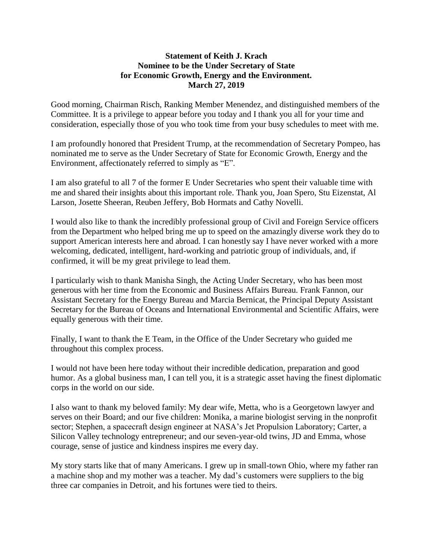## **Statement of Keith J. Krach Nominee to be the Under Secretary of State for Economic Growth, Energy and the Environment. March 27, 2019**

Good morning, Chairman Risch, Ranking Member Menendez, and distinguished members of the Committee. It is a privilege to appear before you today and I thank you all for your time and consideration, especially those of you who took time from your busy schedules to meet with me.

I am profoundly honored that President Trump, at the recommendation of Secretary Pompeo, has nominated me to serve as the Under Secretary of State for Economic Growth, Energy and the Environment, affectionately referred to simply as "E".

I am also grateful to all 7 of the former E Under Secretaries who spent their valuable time with me and shared their insights about this important role. Thank you, Joan Spero, Stu Eizenstat, Al Larson, Josette Sheeran, Reuben Jeffery, Bob Hormats and Cathy Novelli.

I would also like to thank the incredibly professional group of Civil and Foreign Service officers from the Department who helped bring me up to speed on the amazingly diverse work they do to support American interests here and abroad. I can honestly say I have never worked with a more welcoming, dedicated, intelligent, hard-working and patriotic group of individuals, and, if confirmed, it will be my great privilege to lead them.

I particularly wish to thank Manisha Singh, the Acting Under Secretary, who has been most generous with her time from the Economic and Business Affairs Bureau. Frank Fannon, our Assistant Secretary for the Energy Bureau and Marcia Bernicat, the Principal Deputy Assistant Secretary for the Bureau of Oceans and International Environmental and Scientific Affairs, were equally generous with their time.

Finally, I want to thank the E Team, in the Office of the Under Secretary who guided me throughout this complex process.

I would not have been here today without their incredible dedication, preparation and good humor. As a global business man, I can tell you, it is a strategic asset having the finest diplomatic corps in the world on our side.

I also want to thank my beloved family: My dear wife, Metta, who is a Georgetown lawyer and serves on their Board; and our five children: Monika, a marine biologist serving in the nonprofit sector; Stephen, a spacecraft design engineer at NASA's Jet Propulsion Laboratory; Carter, a Silicon Valley technology entrepreneur; and our seven-year-old twins, JD and Emma, whose courage, sense of justice and kindness inspires me every day.

My story starts like that of many Americans. I grew up in small-town Ohio, where my father ran a machine shop and my mother was a teacher. My dad's customers were suppliers to the big three car companies in Detroit, and his fortunes were tied to theirs.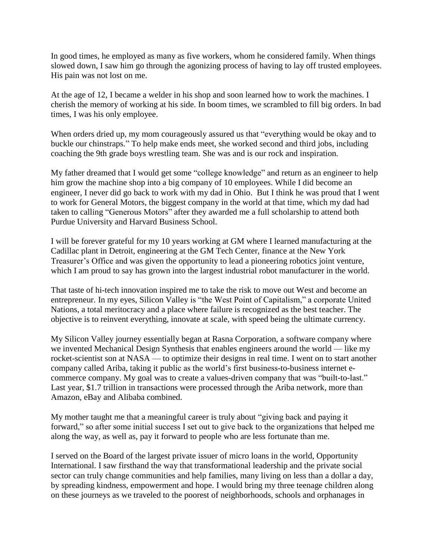In good times, he employed as many as five workers, whom he considered family. When things slowed down, I saw him go through the agonizing process of having to lay off trusted employees. His pain was not lost on me.

At the age of 12, I became a welder in his shop and soon learned how to work the machines. I cherish the memory of working at his side. In boom times, we scrambled to fill big orders. In bad times, I was his only employee.

When orders dried up, my mom courageously assured us that "everything would be okay and to buckle our chinstraps." To help make ends meet, she worked second and third jobs, including coaching the 9th grade boys wrestling team. She was and is our rock and inspiration.

My father dreamed that I would get some "college knowledge" and return as an engineer to help him grow the machine shop into a big company of 10 employees. While I did become an engineer, I never did go back to work with my dad in Ohio. But I think he was proud that I went to work for General Motors, the biggest company in the world at that time, which my dad had taken to calling "Generous Motors" after they awarded me a full scholarship to attend both Purdue University and Harvard Business School.

I will be forever grateful for my 10 years working at GM where I learned manufacturing at the Cadillac plant in Detroit, engineering at the GM Tech Center, finance at the New York Treasurer's Office and was given the opportunity to lead a pioneering robotics joint venture, which I am proud to say has grown into the largest industrial robot manufacturer in the world.

That taste of hi-tech innovation inspired me to take the risk to move out West and become an entrepreneur. In my eyes, Silicon Valley is "the West Point of Capitalism," a corporate United Nations, a total meritocracy and a place where failure is recognized as the best teacher. The objective is to reinvent everything, innovate at scale, with speed being the ultimate currency.

My Silicon Valley journey essentially began at Rasna Corporation, a software company where we invented Mechanical Design Synthesis that enables engineers around the world — like my rocket-scientist son at NASA — to optimize their designs in real time. I went on to start another company called Ariba, taking it public as the world's first business-to-business internet ecommerce company. My goal was to create a values-driven company that was "built-to-last." Last year, \$1.7 trillion in transactions were processed through the Ariba network, more than Amazon, eBay and Alibaba combined.

My mother taught me that a meaningful career is truly about "giving back and paying it forward," so after some initial success I set out to give back to the organizations that helped me along the way, as well as, pay it forward to people who are less fortunate than me.

I served on the Board of the largest private issuer of micro loans in the world, Opportunity International. I saw firsthand the way that transformational leadership and the private social sector can truly change communities and help families, many living on less than a dollar a day, by spreading kindness, empowerment and hope. I would bring my three teenage children along on these journeys as we traveled to the poorest of neighborhoods, schools and orphanages in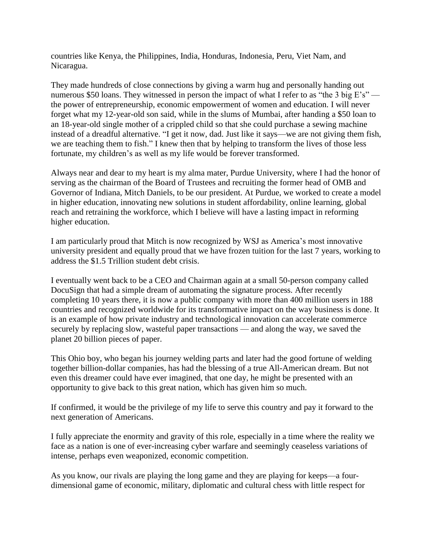countries like Kenya, the Philippines, India, Honduras, Indonesia, Peru, Viet Nam, and Nicaragua.

They made hundreds of close connections by giving a warm hug and personally handing out numerous \$50 loans. They witnessed in person the impact of what I refer to as "the 3 big E's" the power of entrepreneurship, economic empowerment of women and education. I will never forget what my 12-year-old son said, while in the slums of Mumbai, after handing a \$50 loan to an 18-year-old single mother of a crippled child so that she could purchase a sewing machine instead of a dreadful alternative. "I get it now, dad. Just like it says—we are not giving them fish, we are teaching them to fish." I knew then that by helping to transform the lives of those less fortunate, my children's as well as my life would be forever transformed.

Always near and dear to my heart is my alma mater, Purdue University, where I had the honor of serving as the chairman of the Board of Trustees and recruiting the former head of OMB and Governor of Indiana, Mitch Daniels, to be our president. At Purdue, we worked to create a model in higher education, innovating new solutions in student affordability, online learning, global reach and retraining the workforce, which I believe will have a lasting impact in reforming higher education.

I am particularly proud that Mitch is now recognized by WSJ as America's most innovative university president and equally proud that we have frozen tuition for the last 7 years, working to address the \$1.5 Trillion student debt crisis.

I eventually went back to be a CEO and Chairman again at a small 50-person company called DocuSign that had a simple dream of automating the signature process. After recently completing 10 years there, it is now a public company with more than 400 million users in 188 countries and recognized worldwide for its transformative impact on the way business is done. It is an example of how private industry and technological innovation can accelerate commerce securely by replacing slow, wasteful paper transactions — and along the way, we saved the planet 20 billion pieces of paper.

This Ohio boy, who began his journey welding parts and later had the good fortune of welding together billion-dollar companies, has had the blessing of a true All-American dream. But not even this dreamer could have ever imagined, that one day, he might be presented with an opportunity to give back to this great nation, which has given him so much.

If confirmed, it would be the privilege of my life to serve this country and pay it forward to the next generation of Americans.

I fully appreciate the enormity and gravity of this role, especially in a time where the reality we face as a nation is one of ever-increasing cyber warfare and seemingly ceaseless variations of intense, perhaps even weaponized, economic competition.

As you know, our rivals are playing the long game and they are playing for keeps—a fourdimensional game of economic, military, diplomatic and cultural chess with little respect for